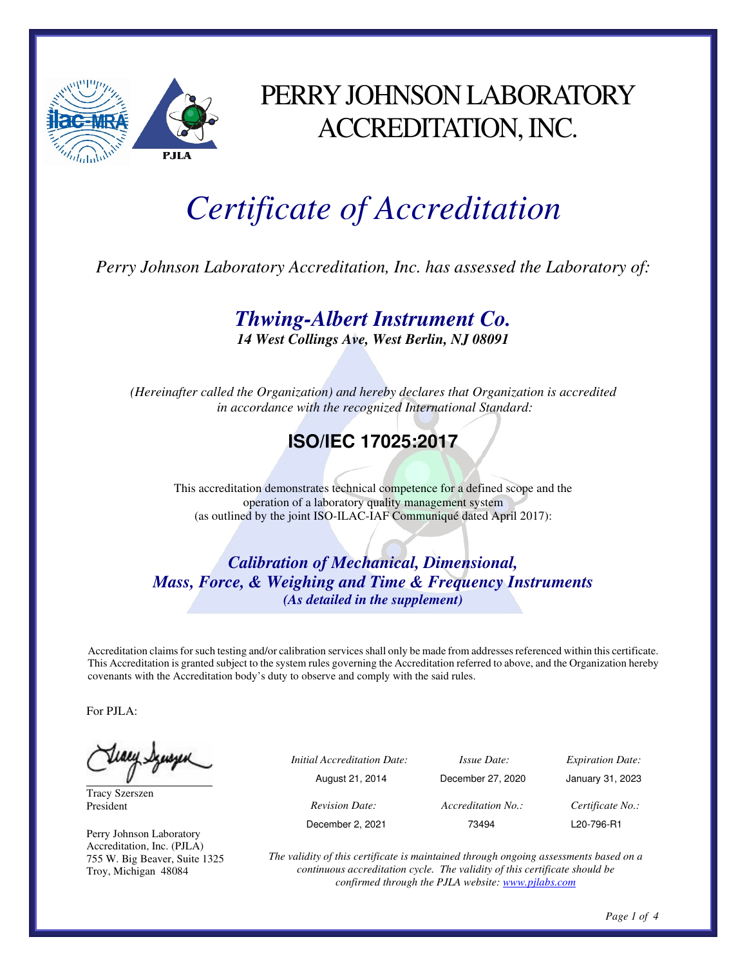

## PERRY JOHNSON LABORATORY ACCREDITATION, INC.

# *Certificate of Accreditation*

*Perry Johnson Laboratory Accreditation, Inc. has assessed the Laboratory of:* 

#### *Thwing-Albert Instrument Co.*

*14 West Collings Ave, West Berlin, NJ 08091* 

*(Hereinafter called the Organization) and hereby declares that Organization is accredited in accordance with the recognized International Standard:* 

#### **ISO/IEC 17025:2017**

This accreditation demonstrates technical competence for a defined scope and the operation of a laboratory quality management system (as outlined by the joint ISO-ILAC-IAF Communiqué dated April 2017):

*Calibration of Mechanical, Dimensional, Mass, Force, & Weighing and Time & Frequency Instruments (As detailed in the supplement)* 

Accreditation claims for such testing and/or calibration services shall only be made from addresses referenced within this certificate. This Accreditation is granted subject to the system rules governing the Accreditation referred to above, and the Organization hereby covenants with the Accreditation body's duty to observe and comply with the said rules.

For PJLA:

Tracy Szerszen President

Perry Johnson Laboratory Accreditation, Inc. (PJLA) 755 W. Big Beaver, Suite 1325 Troy, Michigan 48084

| ب | <i>Initial Accreditation Date:</i> | <i>Issue Date:</i> | <i>Expiration Date:</i> |
|---|------------------------------------|--------------------|-------------------------|
|   | August 21, 2014                    | December 27, 2020  | January 31, 2023        |
|   | <b>Revision Date:</b>              | Accreditation No.: | Certificate No.:        |
|   | December 2, 2021                   | 73494              | L20-796-R1              |

*The validity of this certificate is maintained through ongoing assessments based on a continuous accreditation cycle. The validity of this certificate should be confirmed through the PJLA website: www.pjlabs.com*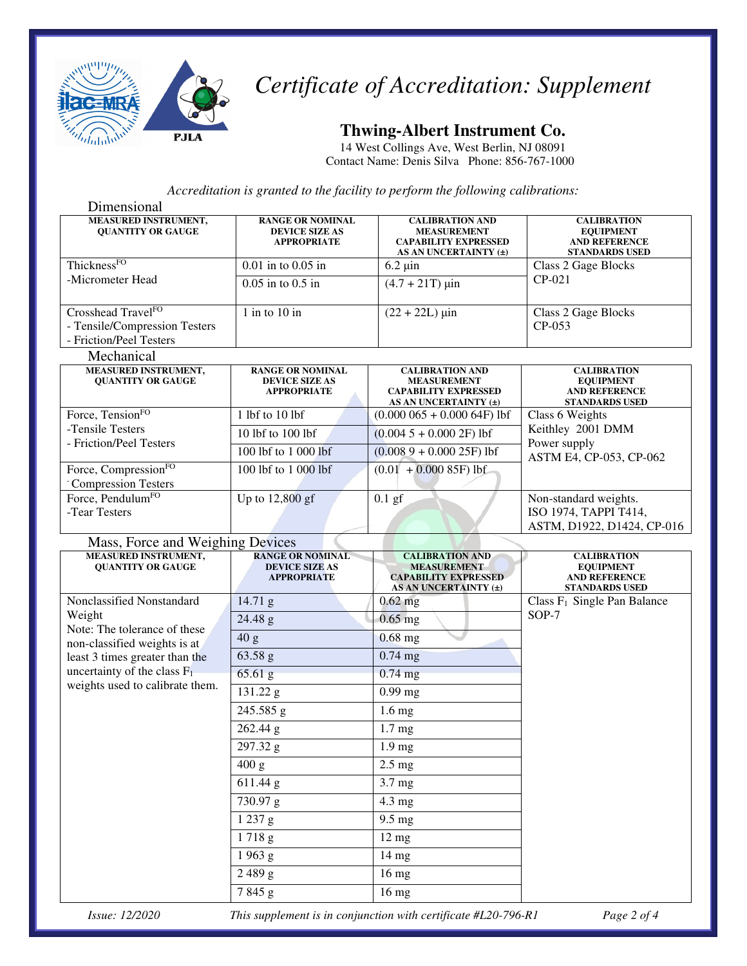

## *Certificate of Accreditation: Supplement*

#### **Thwing-Albert Instrument Co.**

14 West Collings Ave, West Berlin, NJ 08091 Contact Name: Denis Silva Phone: 856-767-1000

*Accreditation is granted to the facility to perform the following calibrations:*

| Dimensional                                                                                |                                                                        |                                                                                                      |                                                                                         |  |
|--------------------------------------------------------------------------------------------|------------------------------------------------------------------------|------------------------------------------------------------------------------------------------------|-----------------------------------------------------------------------------------------|--|
| <b>MEASURED INSTRUMENT,</b><br><b>QUANTITY OR GAUGE</b>                                    | <b>RANGE OR NOMINAL</b><br><b>DEVICE SIZE AS</b><br><b>APPROPRIATE</b> | <b>CALIBRATION AND</b><br><b>MEASUREMENT</b><br><b>CAPABILITY EXPRESSED</b><br>AS AN UNCERTAINTY (±) | <b>CALIBRATION</b><br><b>EQUIPMENT</b><br><b>AND REFERENCE</b><br><b>STANDARDS USED</b> |  |
| ThicknessFO                                                                                | $0.01$ in to $0.05$ in                                                 | $6.2 \mu$ in                                                                                         | Class 2 Gage Blocks<br>$CP-021$                                                         |  |
| -Micrometer Head                                                                           | $0.05$ in to $0.5$ in                                                  | $(4.7 + 21T) \,\mu\text{in}$                                                                         |                                                                                         |  |
| Crosshead Travel <sup>FO</sup><br>- Tensile/Compression Testers<br>- Friction/Peel Testers | $1$ in to $10$ in                                                      | $(22 + 22L)$ µin                                                                                     | Class 2 Gage Blocks<br>CP-053                                                           |  |
| Mechanical                                                                                 |                                                                        |                                                                                                      |                                                                                         |  |
| <b>MEASURED INSTRUMENT,</b><br><b>QUANTITY OR GAUGE</b>                                    | <b>RANGE OR NOMINAL</b><br><b>DEVICE SIZE AS</b><br><b>APPROPRIATE</b> | <b>CALIBRATION AND</b><br><b>MEASUREMENT</b><br><b>CAPABILITY EXPRESSED</b><br>AS AN UNCERTAINTY (±) | <b>CALIBRATION</b><br><b>EQUIPMENT</b><br>AND REFERENCE<br><b>STANDARDS USED</b>        |  |
| Force, Tension <sup>FO</sup>                                                               | 1 lbf to 10 lbf                                                        | $(0.000065 + 0.00064F)$ lbf                                                                          | Class 6 Weights<br>Keithley 2001 DMM<br>Power supply<br>ASTM E4, CP-053, CP-062         |  |
| -Tensile Testers<br>- Friction/Peel Testers                                                | 10 lbf to 100 lbf                                                      | $(0.0045 + 0.0002F)$ lbf                                                                             |                                                                                         |  |
|                                                                                            | 100 lbf to 1 000 lbf                                                   | $(0.0089 + 0.00025F)$ lbf                                                                            |                                                                                         |  |
| Force, Compression <sup>FO</sup><br>- Compression Testers                                  | 100 lbf to 1 000 lbf                                                   | $(0.01 + 0.000 85F)$ lbf                                                                             |                                                                                         |  |
| Force, Pendulum <sup>FO</sup><br>-Tear Testers                                             | Up to $12,800$ gf                                                      | $0.1$ gf                                                                                             | Non-standard weights.<br>ISO 1974, TAPPI T414,<br>ASTM, D1922, D1424, CP-016            |  |
| Mass, Force and Weighing Devices                                                           |                                                                        |                                                                                                      |                                                                                         |  |
| <b>MEASURED INSTRUMENT,</b><br><b>QUANTITY OR GAUGE</b>                                    | <b>RANGE OR NOMINAL</b><br><b>DEVICE SIZE AS</b><br><b>APPROPRIATE</b> | <b>CALIBRATION AND</b><br><b>MEASUREMENT</b><br><b>CAPABILITY EXPRESSED</b><br>AS AN UNCERTAINTY (±) | <b>CALIBRATION</b><br><b>EQUIPMENT</b><br><b>AND REFERENCE</b><br><b>STANDARDS USED</b> |  |
| Nonclassified Nonstandard                                                                  | $14.71$ g                                                              | $0.62$ mg                                                                                            | Class $F_1$ Single Pan Balance                                                          |  |
| Weight                                                                                     |                                                                        |                                                                                                      |                                                                                         |  |
|                                                                                            | 24.48 g                                                                | $0.65$ mg                                                                                            | SOP-7                                                                                   |  |
| Note: The tolerance of these                                                               | 40 g                                                                   | $0.68$ mg                                                                                            |                                                                                         |  |
| non-classified weights is at<br>least 3 times greater than the                             | 63.58 g                                                                | $0.74$ mg                                                                                            |                                                                                         |  |
| uncertainty of the class $F_1$                                                             | 65.61 g                                                                | $0.74$ mg                                                                                            |                                                                                         |  |
| weights used to calibrate them.                                                            | 131.22 g                                                               | $0.99$ mg                                                                                            |                                                                                         |  |
|                                                                                            | 245.585 g                                                              | $1.6 \text{ mg}$                                                                                     |                                                                                         |  |
|                                                                                            | 262.44 g                                                               | 1.7 <sub>mg</sub>                                                                                    |                                                                                         |  |
|                                                                                            | 297.32 g                                                               | 1.9 mg                                                                                               |                                                                                         |  |
|                                                                                            | 400 g                                                                  | $2.5 \text{ mg}$                                                                                     |                                                                                         |  |
|                                                                                            | $\overline{6}$ 11.44 g                                                 | 3.7 mg                                                                                               |                                                                                         |  |
|                                                                                            | 730.97 g                                                               | $4.3 \text{ mg}$                                                                                     |                                                                                         |  |
|                                                                                            | 1237 g                                                                 | $9.5 \text{ mg}$                                                                                     |                                                                                         |  |
|                                                                                            | 1718g                                                                  | $12 \text{ mg}$                                                                                      |                                                                                         |  |
|                                                                                            | 1963 g                                                                 | $14 \text{ mg}$                                                                                      |                                                                                         |  |
|                                                                                            | 2489g<br>7845 g                                                        | $16 \text{ mg}$<br>$16 \text{ mg}$                                                                   |                                                                                         |  |

*Issue: 12/2020 This supplement is in conjunction with certificate #L20-796-R1 Page 2 of 4*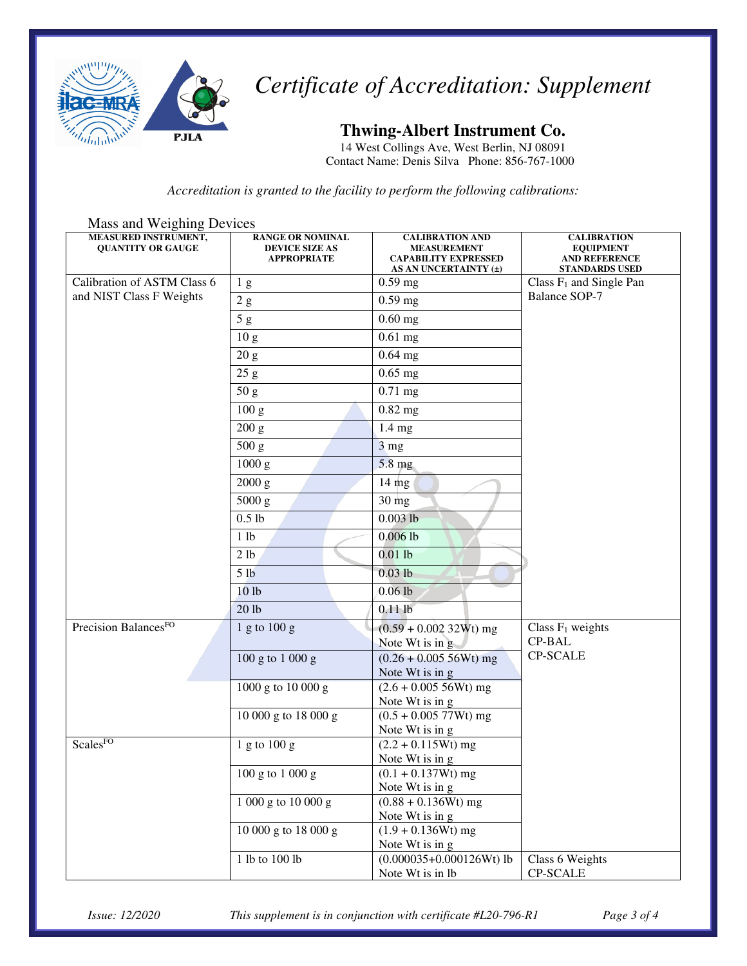

*Certificate of Accreditation: Supplement* 

**Thwing-Albert Instrument Co.** 

14 West Collings Ave, West Berlin, NJ 08091 Contact Name: Denis Silva Phone: 856-767-1000

*Accreditation is granted to the facility to perform the following calibrations:* 

| iviass and weighing Devices<br><b>MEASURED INSTRUMENT,</b><br><b>QUANTITY OR GAUGE</b> | <b>RANGE OR NOMINAL</b><br><b>DEVICE SIZE AS</b><br><b>APPROPRIATE</b> | <b>CALIBRATION AND</b><br><b>MEASUREMENT</b><br><b>CAPABILITY EXPRESSED</b><br>AS AN UNCERTAINTY (±) | <b>CALIBRATION</b><br><b>EQUIPMENT</b><br><b>AND REFERENCE</b><br><b>STANDARDS USED</b> |
|----------------------------------------------------------------------------------------|------------------------------------------------------------------------|------------------------------------------------------------------------------------------------------|-----------------------------------------------------------------------------------------|
| Calibration of ASTM Class 6                                                            | 1 <sub>g</sub>                                                         | $0.59$ mg                                                                                            | Class $F_1$ and Single Pan                                                              |
| and NIST Class F Weights                                                               | 2 g                                                                    | $0.59$ mg                                                                                            | Balance SOP-7                                                                           |
|                                                                                        | 5g                                                                     | $0.60$ mg                                                                                            |                                                                                         |
|                                                                                        | 10 <sub>g</sub>                                                        | $0.61$ mg                                                                                            |                                                                                         |
|                                                                                        | 20 g                                                                   | $0.64$ mg                                                                                            |                                                                                         |
|                                                                                        | 25 g                                                                   | $0.65$ mg                                                                                            |                                                                                         |
|                                                                                        | 50 g                                                                   | $0.71$ mg                                                                                            |                                                                                         |
|                                                                                        | 100 g                                                                  | $0.82$ mg                                                                                            |                                                                                         |
|                                                                                        | 200 g                                                                  | $1.4 \text{ mg}$                                                                                     |                                                                                         |
|                                                                                        | 500 g                                                                  | 3 <sub>mg</sub>                                                                                      |                                                                                         |
|                                                                                        | 1000 g                                                                 | 5.8 mg                                                                                               |                                                                                         |
|                                                                                        | $2000$ g                                                               | $14 \text{ mg}$                                                                                      |                                                                                         |
|                                                                                        | 5000 g                                                                 | $30 \text{ mg}$                                                                                      |                                                                                         |
|                                                                                        | $0.5$ lb                                                               | $0.003$ lb                                                                                           |                                                                                         |
|                                                                                        | 1 lb                                                                   | $0.006$ <sub>lb</sub>                                                                                |                                                                                         |
|                                                                                        | 2 lb                                                                   | $0.01$ lb                                                                                            |                                                                                         |
|                                                                                        | 5 <sub>lb</sub>                                                        | $0.03$ lb                                                                                            |                                                                                         |
|                                                                                        | 10 <sub>1b</sub>                                                       | $0.06$ lb                                                                                            |                                                                                         |
|                                                                                        | 20 lb                                                                  | $0.11$ lb                                                                                            |                                                                                         |
| Precision BalancesFO                                                                   | 1 g to 100 g                                                           | $(0.59 + 0.00232Wt)$ mg                                                                              | Class $F_1$ weights                                                                     |
|                                                                                        |                                                                        | Note Wt is in g                                                                                      | <b>CP-BAL</b>                                                                           |
|                                                                                        | 100 g to 1 000 g                                                       | $(0.26 + 0.00556Wt)$ mg                                                                              | <b>CP-SCALE</b>                                                                         |
|                                                                                        |                                                                        | Note Wt is in g                                                                                      |                                                                                         |
|                                                                                        | 1000 g to 10 000 g                                                     | $(2.6 + 0.00556Wt)$ mg<br>Note Wt is in g                                                            |                                                                                         |
|                                                                                        | 10 000 g to 18 000 g                                                   | $(0.5 + 0.00577Wt)$ mg                                                                               |                                                                                         |
|                                                                                        |                                                                        | Note Wt is in g                                                                                      |                                                                                         |
| ScalesFO                                                                               | $1$ g to $100$ g                                                       | $(2.2 + 0.115Wt)$ mg                                                                                 |                                                                                         |
|                                                                                        | 100 g to 1 000 g                                                       | Note Wt is in g<br>$(0.1 + 0.137Wt)$ mg                                                              |                                                                                         |
|                                                                                        |                                                                        | Note Wt is in g                                                                                      |                                                                                         |
|                                                                                        | 1 000 g to 10 000 g                                                    | $(0.88 + 0.136Wt)$ mg                                                                                |                                                                                         |
|                                                                                        |                                                                        | Note Wt is in g                                                                                      |                                                                                         |
|                                                                                        | 10 000 g to 18 000 g                                                   | $(1.9 + 0.136Wt)$ mg                                                                                 |                                                                                         |
|                                                                                        | 1 lb to 100 lb                                                         | Note Wt is in g<br>$(0.000035+0.000126Wt)$ lb                                                        | Class 6 Weights                                                                         |
|                                                                                        |                                                                        | Note Wt is in lb                                                                                     | CP-SCALE                                                                                |

Mass and Weighing Devices